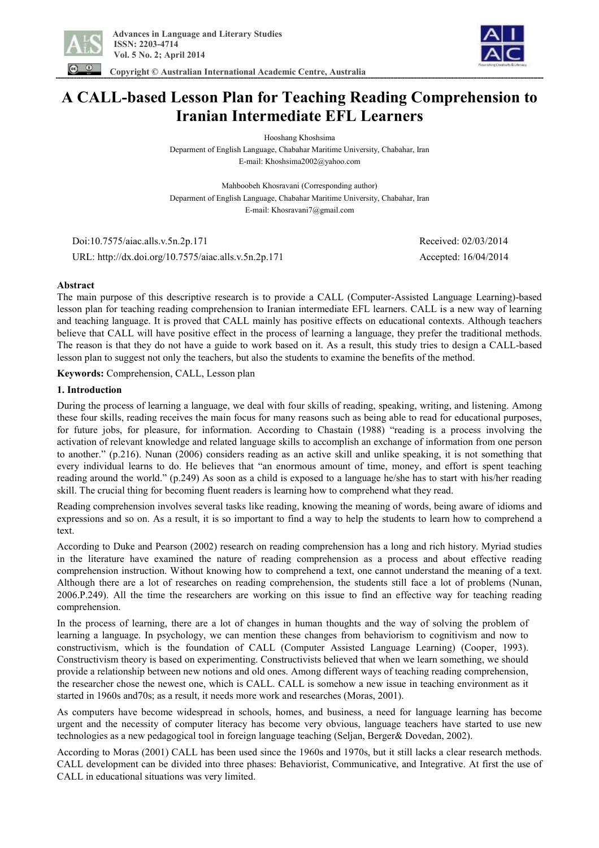

 **Copyright © Australian International Academic Centre, Australia** 

# **A CALL-based Lesson Plan for Teaching Reading Comprehension to Iranian Intermediate EFL Learners**

Hooshang Khoshsima Deparment of English Language, Chabahar Maritime University, Chabahar, Iran E-mail: Khoshsima2002@yahoo.com

Mahboobeh Khosravani (Corresponding author) Deparment of English Language, Chabahar Maritime University, Chabahar, Iran E-mail: Khosravani7@gmail.com

 Doi:10.7575/aiac.alls.v.5n.2p.171 Received: 02/03/2014 URL: http://dx.doi.org/10.7575/aiac.alls.v.5n.2p.171 Accepted: 16/04/2014

## **Abstract**

The main purpose of this descriptive research is to provide a CALL (Computer-Assisted Language Learning)-based lesson plan for teaching reading comprehension to Iranian intermediate EFL learners. CALL is a new way of learning and teaching language. It is proved that CALL mainly has positive effects on educational contexts. Although teachers believe that CALL will have positive effect in the process of learning a language, they prefer the traditional methods. The reason is that they do not have a guide to work based on it. As a result, this study tries to design a CALL-based lesson plan to suggest not only the teachers, but also the students to examine the benefits of the method.

**Keywords:** Comprehension, CALL, Lesson plan

## **1. Introduction**

During the process of learning a language, we deal with four skills of reading, speaking, writing, and listening. Among these four skills, reading receives the main focus for many reasons such as being able to read for educational purposes, for future jobs, for pleasure, for information. According to Chastain (1988) "reading is a process involving the activation of relevant knowledge and related language skills to accomplish an exchange of information from one person to another." (p.216). Nunan (2006) considers reading as an active skill and unlike speaking, it is not something that every individual learns to do. He believes that "an enormous amount of time, money, and effort is spent teaching reading around the world." (p.249) As soon as a child is exposed to a language he/she has to start with his/her reading skill. The crucial thing for becoming fluent readers is learning how to comprehend what they read.

Reading comprehension involves several tasks like reading, knowing the meaning of words, being aware of idioms and expressions and so on. As a result, it is so important to find a way to help the students to learn how to comprehend a text.

According to Duke and Pearson (2002) research on reading comprehension has a long and rich history. Myriad studies in the literature have examined the nature of reading comprehension as a process and about effective reading comprehension instruction. Without knowing how to comprehend a text, one cannot understand the meaning of a text. Although there are a lot of researches on reading comprehension, the students still face a lot of problems (Nunan, 2006.P.249). All the time the researchers are working on this issue to find an effective way for teaching reading comprehension.

In the process of learning, there are a lot of changes in human thoughts and the way of solving the problem of learning a language. In psychology, we can mention these changes from behaviorism to cognitivism and now to constructivism, which is the foundation of CALL (Computer Assisted Language Learning) (Cooper, 1993). Constructivism theory is based on experimenting. Constructivists believed that when we learn something, we should provide a relationship between new notions and old ones. Among different ways of teaching reading comprehension, the researcher chose the newest one, which is CALL. CALL is somehow a new issue in teaching environment as it started in 1960s and70s; as a result, it needs more work and researches (Moras, 2001).

As computers have become widespread in schools, homes, and business, a need for language learning has become urgent and the necessity of computer literacy has become very obvious, language teachers have started to use new technologies as a new pedagogical tool in foreign language teaching (Seljan, Berger& Dovedan, 2002).

According to Moras (2001) CALL has been used since the 1960s and 1970s, but it still lacks a clear research methods. CALL development can be divided into three phases: Behaviorist, Communicative, and Integrative. At first the use of CALL in educational situations was very limited.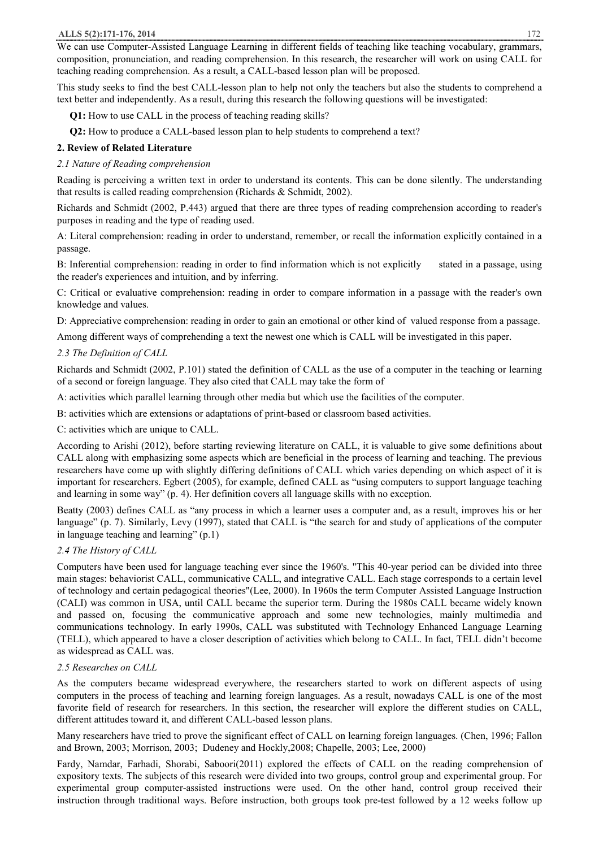We can use Computer-Assisted Language Learning in different fields of teaching like teaching vocabulary, grammars, composition, pronunciation, and reading comprehension. In this research, the researcher will work on using CALL for teaching reading comprehension. As a result, a CALL-based lesson plan will be proposed.

This study seeks to find the best CALL-lesson plan to help not only the teachers but also the students to comprehend a text better and independently. As a result, during this research the following questions will be investigated:

**Q1:** How to use CALL in the process of teaching reading skills?

 **Q2:** How to produce a CALL-based lesson plan to help students to comprehend a text?

## **2. Review of Related Literature**

## *2.1 Nature of Reading comprehension*

Reading is perceiving a written text in order to understand its contents. This can be done silently. The understanding that results is called reading comprehension (Richards & Schmidt, 2002).

Richards and Schmidt (2002, P.443) argued that there are three types of reading comprehension according to reader's purposes in reading and the type of reading used.

A: Literal comprehension: reading in order to understand, remember, or recall the information explicitly contained in a passage.

B: Inferential comprehension: reading in order to find information which is not explicitly stated in a passage, using the reader's experiences and intuition, and by inferring.

C: Critical or evaluative comprehension: reading in order to compare information in a passage with the reader's own knowledge and values.

D: Appreciative comprehension: reading in order to gain an emotional or other kind of valued response from a passage.

Among different ways of comprehending a text the newest one which is CALL will be investigated in this paper.

## *2.3 The Definition of CALL*

Richards and Schmidt (2002, P.101) stated the definition of CALL as the use of a computer in the teaching or learning of a second or foreign language. They also cited that CALL may take the form of

A: activities which parallel learning through other media but which use the facilities of the computer.

B: activities which are extensions or adaptations of print-based or classroom based activities.

C: activities which are unique to CALL.

According to Arishi (2012), before starting reviewing literature on CALL, it is valuable to give some definitions about CALL along with emphasizing some aspects which are beneficial in the process of learning and teaching. The previous researchers have come up with slightly differing definitions of CALL which varies depending on which aspect of it is important for researchers. Egbert (2005), for example, defined CALL as "using computers to support language teaching and learning in some way" (p. 4). Her definition covers all language skills with no exception.

Beatty (2003) defines CALL as "any process in which a learner uses a computer and, as a result, improves his or her language" (p. 7). Similarly, Levy (1997), stated that CALL is "the search for and study of applications of the computer in language teaching and learning" (p.1)

## *2.4 The History of CALL*

Computers have been used for language teaching ever since the 1960's. "This 40-year period can be divided into three main stages: behaviorist CALL, communicative CALL, and integrative CALL. Each stage corresponds to a certain level of technology and certain pedagogical theories"(Lee, 2000). In 1960s the term Computer Assisted Language Instruction (CALI) was common in USA, until CALL became the superior term. During the 1980s CALL became widely known and passed on, focusing the communicative approach and some new technologies, mainly multimedia and communications technology. In early 1990s, CALL was substituted with Technology Enhanced Language Learning (TELL), which appeared to have a closer description of activities which belong to CALL. In fact, TELL didn't become as widespread as CALL was.

## *2.5 Researches on CALL*

As the computers became widespread everywhere, the researchers started to work on different aspects of using computers in the process of teaching and learning foreign languages. As a result, nowadays CALL is one of the most favorite field of research for researchers. In this section, the researcher will explore the different studies on CALL, different attitudes toward it, and different CALL-based lesson plans.

Many researchers have tried to prove the significant effect of CALL on learning foreign languages. (Chen, 1996; Fallon and Brown, 2003; Morrison, 2003; Dudeney and Hockly,2008; Chapelle, 2003; Lee, 2000)

Fardy, Namdar, Farhadi, Shorabi, Saboori(2011) explored the effects of CALL on the reading comprehension of expository texts. The subjects of this research were divided into two groups, control group and experimental group. For experimental group computer-assisted instructions were used. On the other hand, control group received their instruction through traditional ways. Before instruction, both groups took pre-test followed by a 12 weeks follow up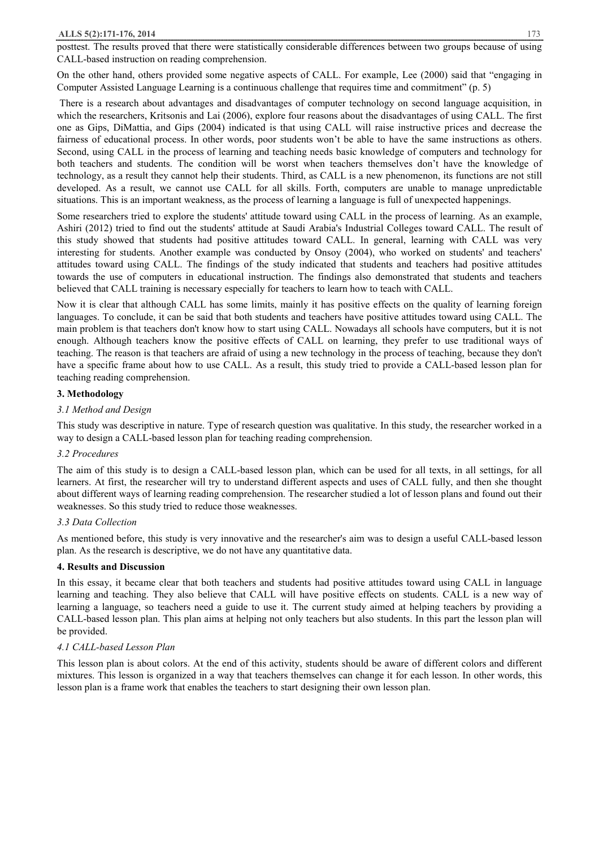posttest. The results proved that there were statistically considerable differences between two groups because of using CALL-based instruction on reading comprehension.

On the other hand, others provided some negative aspects of CALL. For example, Lee (2000) said that "engaging in Computer Assisted Language Learning is a continuous challenge that requires time and commitment" (p. 5)

There is a research about advantages and disadvantages of computer technology on second language acquisition, in which the researchers, Kritsonis and Lai (2006), explore four reasons about the disadvantages of using CALL. The first one as Gips, DiMattia, and Gips (2004) indicated is that using CALL will raise instructive prices and decrease the fairness of educational process. In other words, poor students won't be able to have the same instructions as others. Second, using CALL in the process of learning and teaching needs basic knowledge of computers and technology for both teachers and students. The condition will be worst when teachers themselves don't have the knowledge of technology, as a result they cannot help their students. Third, as CALL is a new phenomenon, its functions are not still developed. As a result, we cannot use CALL for all skills. Forth, computers are unable to manage unpredictable situations. This is an important weakness, as the process of learning a language is full of unexpected happenings.

Some researchers tried to explore the students' attitude toward using CALL in the process of learning. As an example, Ashiri (2012) tried to find out the students' attitude at Saudi Arabia's Industrial Colleges toward CALL. The result of this study showed that students had positive attitudes toward CALL. In general, learning with CALL was very interesting for students. Another example was conducted by Onsoy (2004), who worked on students' and teachers' attitudes toward using CALL. The findings of the study indicated that students and teachers had positive attitudes towards the use of computers in educational instruction. The findings also demonstrated that students and teachers believed that CALL training is necessary especially for teachers to learn how to teach with CALL.

Now it is clear that although CALL has some limits, mainly it has positive effects on the quality of learning foreign languages. To conclude, it can be said that both students and teachers have positive attitudes toward using CALL. The main problem is that teachers don't know how to start using CALL. Nowadays all schools have computers, but it is not enough. Although teachers know the positive effects of CALL on learning, they prefer to use traditional ways of teaching. The reason is that teachers are afraid of using a new technology in the process of teaching, because they don't have a specific frame about how to use CALL. As a result, this study tried to provide a CALL-based lesson plan for teaching reading comprehension.

## **3. Methodology**

## *3.1 Method and Design*

This study was descriptive in nature. Type of research question was qualitative. In this study, the researcher worked in a way to design a CALL-based lesson plan for teaching reading comprehension.

## *3.2 Procedures*

The aim of this study is to design a CALL-based lesson plan, which can be used for all texts, in all settings, for all learners. At first, the researcher will try to understand different aspects and uses of CALL fully, and then she thought about different ways of learning reading comprehension. The researcher studied a lot of lesson plans and found out their weaknesses. So this study tried to reduce those weaknesses.

## *3.3 Data Collection*

As mentioned before, this study is very innovative and the researcher's aim was to design a useful CALL-based lesson plan. As the research is descriptive, we do not have any quantitative data.

## **4. Results and Discussion**

In this essay, it became clear that both teachers and students had positive attitudes toward using CALL in language learning and teaching. They also believe that CALL will have positive effects on students. CALL is a new way of learning a language, so teachers need a guide to use it. The current study aimed at helping teachers by providing a CALL-based lesson plan. This plan aims at helping not only teachers but also students. In this part the lesson plan will be provided.

## *4.1 CALL-based Lesson Plan*

This lesson plan is about colors. At the end of this activity, students should be aware of different colors and different mixtures. This lesson is organized in a way that teachers themselves can change it for each lesson. In other words, this lesson plan is a frame work that enables the teachers to start designing their own lesson plan.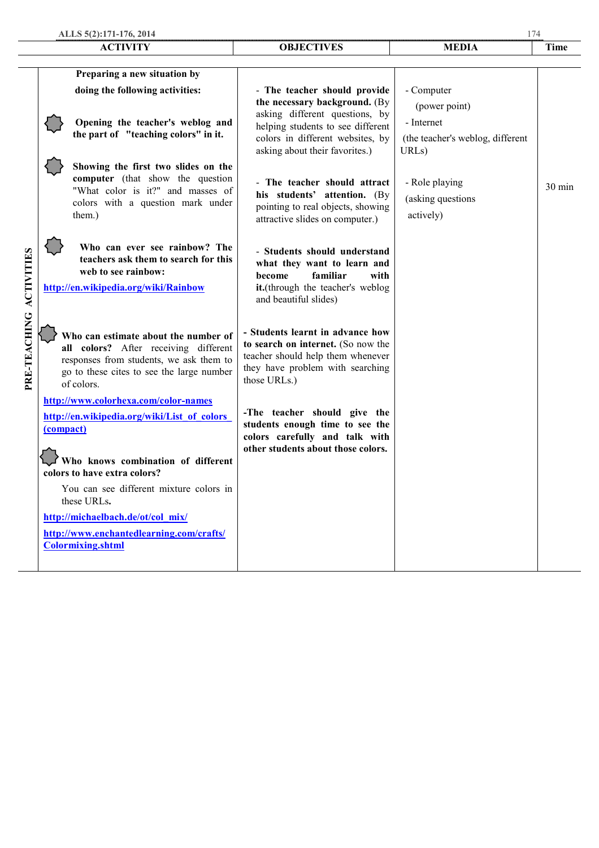|                   |           | ALLS 5(2):171-176, 2014                                                                                                                                                             | 174                                                                                                                                                             |                                                                      |        |
|-------------------|-----------|-------------------------------------------------------------------------------------------------------------------------------------------------------------------------------------|-----------------------------------------------------------------------------------------------------------------------------------------------------------------|----------------------------------------------------------------------|--------|
|                   |           | <b>ACTIVITY</b>                                                                                                                                                                     | <b>OBJECTIVES</b>                                                                                                                                               | <b>MEDIA</b>                                                         | Time   |
|                   |           |                                                                                                                                                                                     |                                                                                                                                                                 |                                                                      |        |
|                   |           | Preparing a new situation by<br>doing the following activities:                                                                                                                     | - The teacher should provide<br>the necessary background. (By                                                                                                   | - Computer<br>(power point)                                          |        |
|                   |           | Opening the teacher's weblog and<br>the part of "teaching colors" in it.                                                                                                            | asking different questions, by<br>helping students to see different<br>colors in different websites, by<br>asking about their favorites.)                       | - Internet<br>(the teacher's weblog, different<br>URL <sub>s</sub> ) |        |
|                   |           | Showing the first two slides on the<br>computer (that show the question<br>"What color is it?" and masses of<br>colors with a question mark under<br>them.)                         | - The teacher should attract<br>his students' attention. (By<br>pointing to real objects, showing<br>attractive slides on computer.)                            | - Role playing<br>(asking questions<br>actively)                     | 30 min |
| <b>ACTIVITIES</b> |           | Who can ever see rainbow? The<br>teachers ask them to search for this<br>web to see rainbow:<br>http://en.wikipedia.org/wiki/Rainbow                                                | - Students should understand<br>what they want to learn and<br>familiar<br>become<br>with<br>it.(through the teacher's weblog<br>and beautiful slides)          |                                                                      |        |
| PRE-TEACHING      |           | Who can estimate about the number of<br>all colors? After receiving different<br>responses from students, we ask them to<br>go to these cites to see the large number<br>of colors. | - Students learnt in advance how<br>to search on internet. (So now the<br>teacher should help them whenever<br>they have problem with searching<br>those URLs.) |                                                                      |        |
|                   | (compact) | http://www.colorhexa.com/color-names<br>http://en.wikipedia.org/wiki/List of colors<br>Who knows combination of different<br>colors to have extra colors?                           | -The teacher should give the<br>students enough time to see the<br>colors carefully and talk with<br>other students about those colors.                         |                                                                      |        |
|                   |           | You can see different mixture colors in<br>these URLs.<br>http://michaelbach.de/ot/col mix/<br>http://www.enchantedlearning.com/crafts/<br><b>Colormixing.shtml</b>                 |                                                                                                                                                                 |                                                                      |        |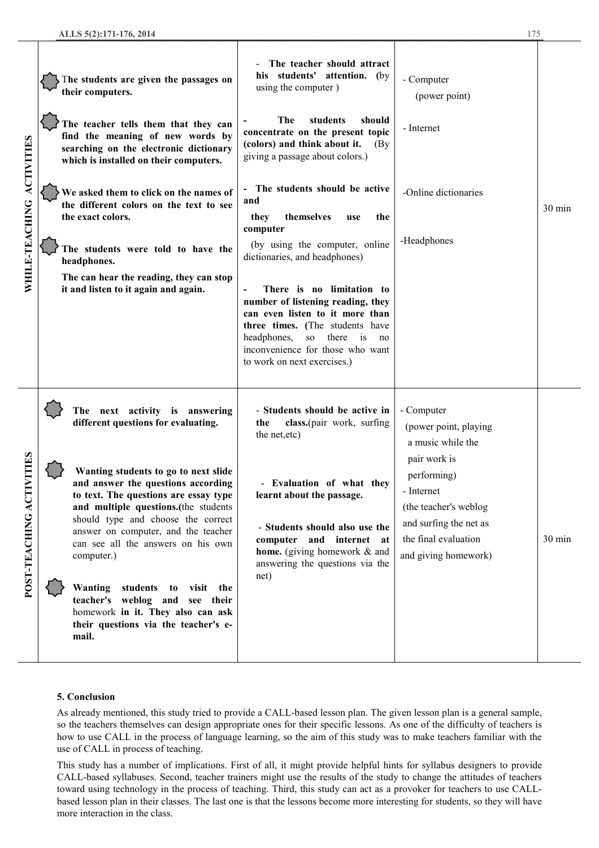| WHILE-TEACHING ACTIVITES          | The students are given the passages on<br>their computers. |                                                                                                                                                                                                                                                                                              | The teacher should attract<br>his students' attention. (by<br>using the computer)                                                                                                                                                                         | - Computer<br>(power point)                                                                                                                  |                  |
|-----------------------------------|------------------------------------------------------------|----------------------------------------------------------------------------------------------------------------------------------------------------------------------------------------------------------------------------------------------------------------------------------------------|-----------------------------------------------------------------------------------------------------------------------------------------------------------------------------------------------------------------------------------------------------------|----------------------------------------------------------------------------------------------------------------------------------------------|------------------|
|                                   |                                                            | The teacher tells them that they can<br>find the meaning of new words by<br>searching on the electronic dictionary<br>which is installed on their computers.                                                                                                                                 | The<br>students<br>should<br>concentrate on the present topic<br>(colors) and think about it.<br>(By)<br>giving a passage about colors.)                                                                                                                  | - Internet                                                                                                                                   |                  |
|                                   |                                                            | We asked them to click on the names of<br>the different colors on the text to see<br>the exact colors.                                                                                                                                                                                       | The students should be active<br>and<br>themselves<br>they<br>the<br>use<br>computer                                                                                                                                                                      | -Online dictionaries                                                                                                                         | $30 \text{ min}$ |
|                                   |                                                            | The students were told to have the<br>headphones.                                                                                                                                                                                                                                            | (by using the computer, online<br>dictionaries, and headphones)                                                                                                                                                                                           | -Headphones                                                                                                                                  |                  |
|                                   |                                                            | The can hear the reading, they can stop<br>it and listen to it again and again.                                                                                                                                                                                                              | There is no limitation to<br>number of listening reading, they<br>can even listen to it more than<br>three times. (The students have<br>headphones,<br>there is<br><sub>SO</sub><br>no<br>inconvenience for those who want<br>to work on next exercises.) |                                                                                                                                              |                  |
| <b>NILLES</b><br>POST-TEACHING AC |                                                            | The next activity is answering<br>different questions for evaluating.                                                                                                                                                                                                                        | - Students should be active in<br>class.(pair work, surfing<br>the<br>the net, etc)                                                                                                                                                                       | - Computer<br>(power point, playing<br>a music while the                                                                                     |                  |
|                                   |                                                            | Wanting students to go to next slide<br>and answer the questions according<br>to text. The questions are essay type<br>and multiple questions.(the students<br>should type and choose the correct<br>answer on computer, and the teacher<br>can see all the answers on his own<br>computer.) | - Evaluation of what they<br>learnt about the passage.                                                                                                                                                                                                    | pair work is<br>performing)<br>- Internet<br>(the teacher's weblog<br>and surfing the net as<br>the final evaluation<br>and giving homework) |                  |
|                                   |                                                            |                                                                                                                                                                                                                                                                                              | - Students should also use the<br>computer and internet at<br>home. (giving homework & and<br>answering the questions via the<br>net)                                                                                                                     |                                                                                                                                              | 30 min           |
|                                   |                                                            | Wanting<br>students<br>to visit the<br>teacher's weblog and see their<br>homework in it. They also can ask<br>their questions via the teacher's e-<br>mail.                                                                                                                                  |                                                                                                                                                                                                                                                           |                                                                                                                                              |                  |

#### **5. Conclusion**

As already mentioned, this study tried to provide a CALL-based lesson plan. The given lesson plan is a general sample, so the teachers themselves can design appropriate ones for their specific lessons. As one of the difficulty of teachers is how to use CALL in the process of language learning, so the aim of this study was to make teachers familiar with the use of CALL in process of teaching.

This study has a number of implications. First of all, it might provide helpful hints for syllabus designers to provide CALL-based syllabuses. Second, teacher trainers might use the results of the study to change the attitudes of teachers toward using technology in the process of teaching. Third, this study can act as a provoker for teachers to use CALLbased lesson plan in their classes. The last one is that the lessons become more interesting for students, so they will have more interaction in the class.